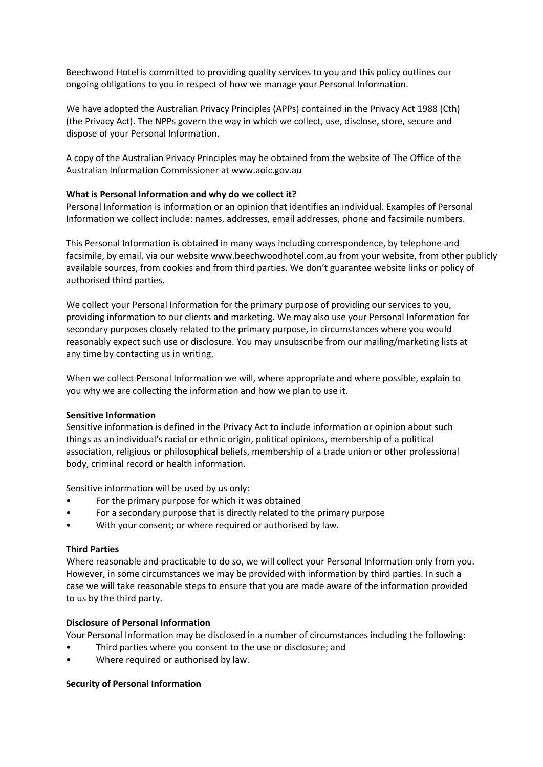Beechwood Hotel is committed to providing quality services to you and this policy outlines our ongoing obligations to you in respect of how we manage your Personal Information.

We have adopted the Australian Privacy Principles (APPs) contained in the Privacy Act 1988 (Cth) (the Privacy Act). The NPPs govern the way in which we collect, use, disclose, store, secure and dispose of your Personal Information.

A copy of the Australian Privacy Principles may be obtained from the website of The Office of the Australian Information Commissioner at www.aoic.gov.au

## **What is Personal Information and why do we collect it?**

Personal Information is information or an opinion that identifies an individual. Examples of Personal Information we collect include: names, addresses, email addresses, phone and facsimile numbers.

This Personal Information is obtained in many ways including correspondence, by telephone and facsimile, by email, via our website www.beechwoodhotel.com.au from your website, from other publicly available sources, from cookies and from third parties. We don't guarantee website links or policy of authorised third parties.

We collect your Personal Information for the primary purpose of providing our services to you, providing information to our clients and marketing. We may also use your Personal Information for secondary purposes closely related to the primary purpose, in circumstances where you would reasonably expect such use or disclosure. You may unsubscribe from our mailing/marketing lists at any time by contacting us in writing.

When we collect Personal Information we will, where appropriate and where possible, explain to you why we are collecting the information and how we plan to use it.

# **Sensitive Information**

Sensitive information is defined in the Privacy Act to include information or opinion about such things as an individual's racial or ethnic origin, political opinions, membership of a political association, religious or philosophical beliefs, membership of a trade union or other professional body, criminal record or health information.

Sensitive information will be used by us only:

- For the primary purpose for which it was obtained
- For a secondary purpose that is directly related to the primary purpose
- With your consent; or where required or authorised by law.

#### **Third Parties**

Where reasonable and practicable to do so, we will collect your Personal Information only from you. However, in some circumstances we may be provided with information by third parties. In such a case we will take reasonable steps to ensure that you are made aware of the information provided to us by the third party.

### **Disclosure of Personal Information**

Your Personal Information may be disclosed in a number of circumstances including the following:

- Third parties where you consent to the use or disclosure; and
- Where required or authorised by law.

#### **Security of Personal Information**